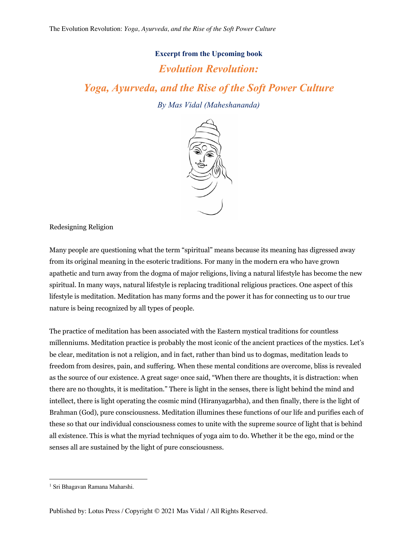## **Excerpt from the Upcoming book**

## *Evolution Revolution:*

*Yoga, Ayurveda, and the Rise of the Soft Power Culture*

*By Mas Vidal (Maheshananda)*



Redesigning Religion

Many people are questioning what the term "spiritual" means because its meaning has digressed away from its original meaning in the esoteric traditions. For many in the modern era who have grown apathetic and turn away from the dogma of major religions, living a natural lifestyle has become the new spiritual. In many ways, natural lifestyle is replacing traditional religious practices. One aspect of this lifestyle is meditation. Meditation has many forms and the power it has for connecting us to our true nature is being recognized by all types of people.

The practice of meditation has been associated with the Eastern mystical traditions for countless millenniums. Meditation practice is probably the most iconic of the ancient practices of the mystics. Let's be clear, meditation is not a religion, and in fact, rather than bind us to dogmas, meditation leads to freedom from desires, pain, and suffering. When these mental conditions are overcome, bliss is revealed as the source of our existence. A great sage<sup>1</sup> once said, "When there are thoughts, it is distraction: when there are no thoughts, it is meditation." There is light in the senses, there is light behind the mind and intellect, there is light operating the cosmic mind (Hiranyagarbha), and then finally, there is the light of Brahman (God), pure consciousness. Meditation illumines these functions of our life and purifies each of these so that our individual consciousness comes to unite with the supreme source of light that is behind all existence. This is what the myriad techniques of yoga aim to do. Whether it be the ego, mind or the senses all are sustained by the light of pure consciousness.

<sup>1</sup> Sri Bhagavan Ramana Maharshi.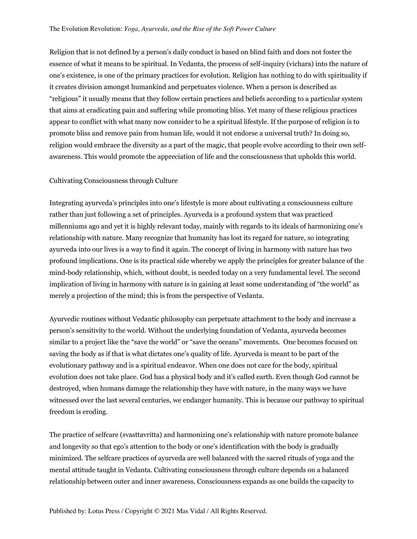Religion that is not defined by a person's daily conduct is based on blind faith and does not foster the essence of what it means to be spiritual. In Vedanta, the process of self-inquiry (vichara) into the nature of one's existence, is one of the primary practices for evolution. Religion has nothing to do with spirituality if it creates division amongst humankind and perpetuates violence. When a person is described as "religious" it usually means that they follow certain practices and beliefs according to a particular system that aims at eradicating pain and suffering while promoting bliss. Yet many of these religious practices appear to conflict with what many now consider to be a spiritual lifestyle. If the purpose of religion is to promote bliss and remove pain from human life, would it not endorse a universal truth? In doing so, religion would embrace the diversity as a part of the magic, that people evolve according to their own selfawareness. This would promote the appreciation of life and the consciousness that upholds this world.

## Cultivating Consciousness through Culture

Integrating ayurveda's principles into one's lifestyle is more about cultivating a consciousness culture rather than just following a set of principles. Ayurveda is a profound system that was practiced millenniums ago and yet it is highly relevant today, mainly with regards to its ideals of harmonizing one's relationship with nature. Many recognize that humanity has lost its regard for nature, so integrating ayurveda into our lives is a way to find it again. The concept of living in harmony with nature has two profound implications. One is its practical side whereby we apply the principles for greater balance of the mind-body relationship, which, without doubt, is needed today on a very fundamental level. The second implication of living in harmony with nature is in gaining at least some understanding of "the world" as merely a projection of the mind; this is from the perspective of Vedanta.

Ayurvedic routines without Vedantic philosophy can perpetuate attachment to the body and increase a person's sensitivity to the world. Without the underlying foundation of Vedanta, ayurveda becomes similar to a project like the "save the world" or "save the oceans" movements. One becomes focused on saving the body as if that is what dictates one's quality of life. Ayurveda is meant to be part of the evolutionary pathway and is a spiritual endeavor. When one does not care for the body, spiritual evolution does not take place. God has a physical body and it's called earth. Even though God cannot be destroyed, when humans damage the relationship they have with nature, in the many ways we have witnessed over the last several centuries, we endanger humanity. This is because our pathway to spiritual freedom is eroding.

The practice of selfcare (svasttavritta) and harmonizing one's relationship with nature promote balance and longevity so that ego's attention to the body or one's identification with the body is gradually minimized. The selfcare practices of ayurveda are well balanced with the sacred rituals of yoga and the mental attitude taught in Vedanta. Cultivating consciousness through culture depends on a balanced relationship between outer and inner awareness. Consciousness expands as one builds the capacity to